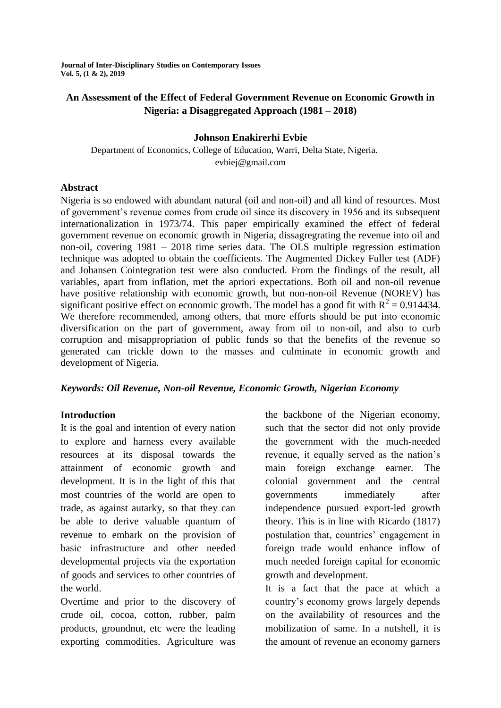**Journal of Inter-Disciplinary Studies on Contemporary Issues Vol. 5, (1 & 2), 2019**

## **An Assessment of the Effect of Federal Government Revenue on Economic Growth in Nigeria: a Disaggregated Approach (1981 – 2018)**

### **Johnson Enakirerhi Evbie**

Department of Economics, College of Education, Warri, Delta State, Nigeria. evbiej@gmail.com

### **Abstract**

Nigeria is so endowed with abundant natural (oil and non-oil) and all kind of resources. Most of government"s revenue comes from crude oil since its discovery in 1956 and its subsequent internationalization in 1973/74. This paper empirically examined the effect of federal government revenue on economic growth in Nigeria, dissagregrating the revenue into oil and non-oil, covering 1981 – 2018 time series data. The OLS multiple regression estimation technique was adopted to obtain the coefficients. The Augmented Dickey Fuller test (ADF) and Johansen Cointegration test were also conducted. From the findings of the result, all variables, apart from inflation, met the apriori expectations. Both oil and non-oil revenue have positive relationship with economic growth, but non-non-oil Revenue (NOREV) has significant positive effect on economic growth. The model has a good fit with  $R^2 = 0.914434$ . We therefore recommended, among others, that more efforts should be put into economic diversification on the part of government, away from oil to non-oil, and also to curb corruption and misappropriation of public funds so that the benefits of the revenue so generated can trickle down to the masses and culminate in economic growth and development of Nigeria.

### *Keywords: Oil Revenue, Non-oil Revenue, Economic Growth, Nigerian Economy*

## **Introduction**

It is the goal and intention of every nation to explore and harness every available resources at its disposal towards the attainment of economic growth and development. It is in the light of this that most countries of the world are open to trade, as against autarky, so that they can be able to derive valuable quantum of revenue to embark on the provision of basic infrastructure and other needed developmental projects via the exportation of goods and services to other countries of the world.

Overtime and prior to the discovery of crude oil, cocoa, cotton, rubber, palm products, groundnut, etc were the leading exporting commodities. Agriculture was the backbone of the Nigerian economy, such that the sector did not only provide the government with the much-needed revenue, it equally served as the nation"s main foreign exchange earner. The colonial government and the central governments immediately after independence pursued export-led growth theory. This is in line with Ricardo (1817) postulation that, countries' engagement in foreign trade would enhance inflow of much needed foreign capital for economic growth and development.

It is a fact that the pace at which a country"s economy grows largely depends on the availability of resources and the mobilization of same. In a nutshell, it is the amount of revenue an economy garners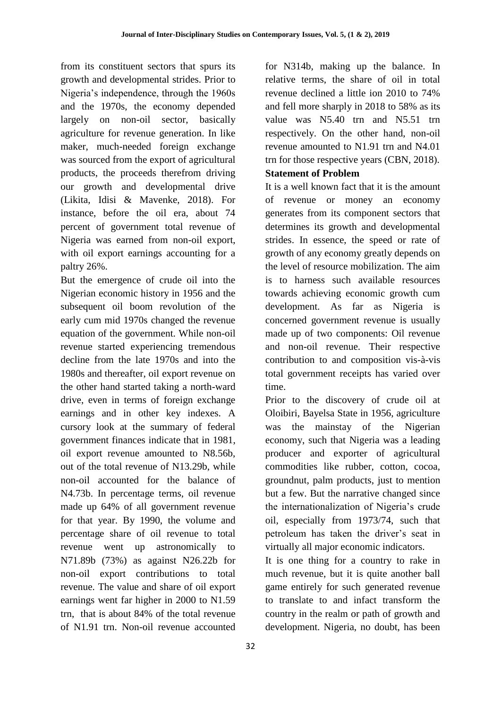from its constituent sectors that spurs its growth and developmental strides. Prior to Nigeria's independence, through the 1960s and the 1970s, the economy depended largely on non-oil sector, basically agriculture for revenue generation. In like maker, much-needed foreign exchange was sourced from the export of agricultural products, the proceeds therefrom driving our growth and developmental drive (Likita, Idisi & Mavenke, 2018). For instance, before the oil era, about 74 percent of government total revenue of Nigeria was earned from non-oil export, with oil export earnings accounting for a paltry 26%.

But the emergence of crude oil into the Nigerian economic history in 1956 and the subsequent oil boom revolution of the early cum mid 1970s changed the revenue equation of the government. While non-oil revenue started experiencing tremendous decline from the late 1970s and into the 1980s and thereafter, oil export revenue on the other hand started taking a north-ward drive, even in terms of foreign exchange earnings and in other key indexes. A cursory look at the summary of federal government finances indicate that in 1981, oil export revenue amounted to N8.56b, out of the total revenue of N13.29b, while non-oil accounted for the balance of N4.73b. In percentage terms, oil revenue made up 64% of all government revenue for that year. By 1990, the volume and percentage share of oil revenue to total revenue went up astronomically to N71.89b (73%) as against N26.22b for non-oil export contributions to total revenue. The value and share of oil export earnings went far higher in 2000 to N1.59 trn, that is about 84% of the total revenue of N1.91 trn. Non-oil revenue accounted

for N314b, making up the balance. In relative terms, the share of oil in total revenue declined a little ion 2010 to 74% and fell more sharply in 2018 to 58% as its value was N5.40 trn and N5.51 trn respectively. On the other hand, non-oil revenue amounted to N1.91 trn and N4.01 trn for those respective years (CBN, 2018).

## **Statement of Problem**

It is a well known fact that it is the amount of revenue or money an economy generates from its component sectors that determines its growth and developmental strides. In essence, the speed or rate of growth of any economy greatly depends on the level of resource mobilization. The aim is to harness such available resources towards achieving economic growth cum development. As far as Nigeria is concerned government revenue is usually made up of two components: Oil revenue and non-oil revenue. Their respective contribution to and composition vis-à-vis total government receipts has varied over time.

Prior to the discovery of crude oil at Oloibiri, Bayelsa State in 1956, agriculture was the mainstay of the Nigerian economy, such that Nigeria was a leading producer and exporter of agricultural commodities like rubber, cotton, cocoa, groundnut, palm products, just to mention but a few. But the narrative changed since the internationalization of Nigeria's crude oil, especially from 1973/74, such that petroleum has taken the driver"s seat in virtually all major economic indicators.

It is one thing for a country to rake in much revenue, but it is quite another ball game entirely for such generated revenue to translate to and infact transform the country in the realm or path of growth and development. Nigeria, no doubt, has been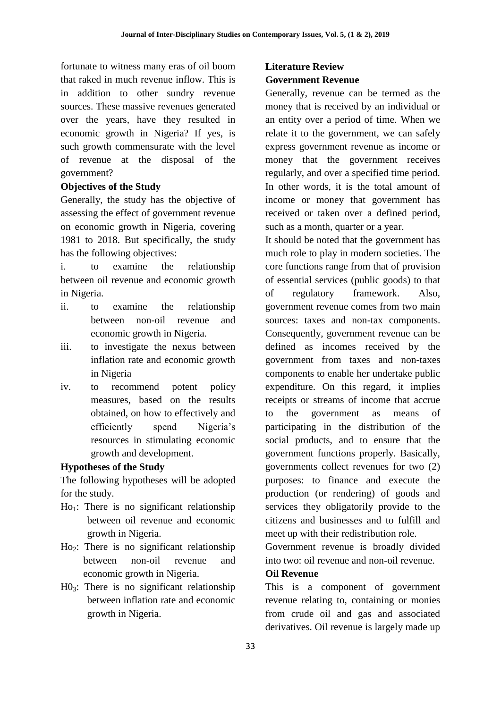fortunate to witness many eras of oil boom that raked in much revenue inflow. This is in addition to other sundry revenue sources. These massive revenues generated over the years, have they resulted in economic growth in Nigeria? If yes, is such growth commensurate with the level of revenue at the disposal of the government?

## **Objectives of the Study**

Generally, the study has the objective of assessing the effect of government revenue on economic growth in Nigeria, covering 1981 to 2018. But specifically, the study has the following objectives:

i. to examine the relationship between oil revenue and economic growth in Nigeria.

- ii. to examine the relationship between non-oil revenue and economic growth in Nigeria.
- iii. to investigate the nexus between inflation rate and economic growth in Nigeria
- iv. to recommend potent policy measures, based on the results obtained, on how to effectively and efficiently spend Nigeria"s resources in stimulating economic growth and development.

## **Hypotheses of the Study**

The following hypotheses will be adopted for the study.

- $Ho<sub>1</sub>:$  There is no significant relationship between oil revenue and economic growth in Nigeria.
- Ho2: There is no significant relationship between non-oil revenue and economic growth in Nigeria.
- $H0<sub>3</sub>$ : There is no significant relationship between inflation rate and economic growth in Nigeria.

## **Literature Review Government Revenue**

Generally, revenue can be termed as the money that is received by an individual or an entity over a period of time. When we relate it to the government, we can safely express government revenue as income or money that the government receives regularly, and over a specified time period. In other words, it is the total amount of income or money that government has received or taken over a defined period, such as a month, quarter or a year.

It should be noted that the government has much role to play in modern societies. The core functions range from that of provision of essential services (public goods) to that of regulatory framework. Also, government revenue comes from two main sources: taxes and non-tax components. Consequently, government revenue can be defined as incomes received by the government from taxes and non-taxes components to enable her undertake public expenditure. On this regard, it implies receipts or streams of income that accrue to the government as means of participating in the distribution of the social products, and to ensure that the government functions properly. Basically, governments collect revenues for two (2) purposes: to finance and execute the production (or rendering) of goods and services they obligatorily provide to the citizens and businesses and to fulfill and meet up with their redistribution role.

Government revenue is broadly divided into two: oil revenue and non-oil revenue.

### **Oil Revenue**

This is a component of government revenue relating to, containing or monies from crude oil and gas and associated derivatives. Oil revenue is largely made up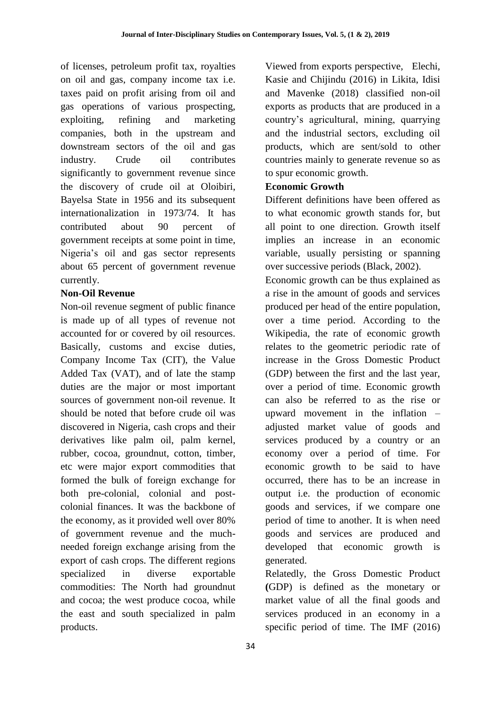of licenses, petroleum profit tax, royalties on oil and gas, company income tax i.e. taxes paid on profit arising from oil and gas operations of various prospecting, exploiting, refining and marketing companies, both in the upstream and downstream sectors of the oil and gas industry. Crude oil contributes significantly to government revenue since the discovery of crude oil at Oloibiri, Bayelsa State in 1956 and its subsequent internationalization in 1973/74. It has contributed about 90 percent of government receipts at some point in time, Nigeria"s oil and gas sector represents about 65 percent of government revenue currently.

### **Non-Oil Revenue**

Non-oil revenue segment of public finance is made up of all types of revenue not accounted for or covered by oil resources. Basically, customs and excise duties, Company Income Tax (CIT), the Value Added Tax (VAT), and of late the stamp duties are the major or most important sources of government non-oil revenue. It should be noted that before crude oil was discovered in Nigeria, cash crops and their derivatives like palm oil, palm kernel, rubber, cocoa, groundnut, cotton, timber, etc were major export commodities that formed the bulk of foreign exchange for both pre-colonial, colonial and postcolonial finances. It was the backbone of the economy, as it provided well over 80% of government revenue and the muchneeded foreign exchange arising from the export of cash crops. The different regions specialized in diverse exportable commodities: The North had groundnut and cocoa; the west produce cocoa, while the east and south specialized in palm products.

Viewed from exports perspective, Elechi, Kasie and Chijindu (2016) in Likita, Idisi and Mavenke (2018) classified non-oil exports as products that are produced in a country"s agricultural, mining, quarrying and the industrial sectors, excluding oil products, which are sent/sold to other countries mainly to generate revenue so as to spur economic growth.

### **Economic Growth**

Different definitions have been offered as to what economic growth stands for, but all point to one direction. Growth itself implies an increase in an economic variable, usually persisting or spanning over successive periods (Black, 2002).

Economic growth can be thus explained as a rise in the amount of goods and services produced per head of the entire population, over a time period. According to the Wikipedia, the rate of economic growth relates to the geometric periodic rate of increase in the Gross Domestic Product (GDP) between the first and the last year, over a period of time. Economic growth can also be referred to as the rise or upward movement in the inflation – adjusted market value of goods and services produced by a country or an economy over a period of time. For economic growth to be said to have occurred, there has to be an increase in output i.e. the production of economic goods and services, if we compare one period of time to another. It is when need goods and services are produced and developed that economic growth is generated.

Relatedly, the Gross Domestic Product **(**GDP) is defined as the monetary or market value of all the final goods and services produced in an economy in a specific period of time. The IMF (2016)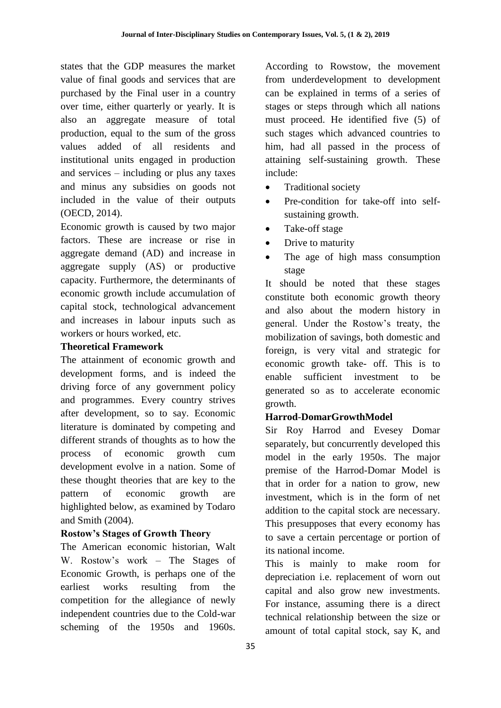states that the GDP measures the market value of final goods and services that are purchased by the Final user in a country over time, either quarterly or yearly. It is also an aggregate measure of total production, equal to the sum of the gross values added of all residents and institutional units engaged in production and services – including or plus any taxes and minus any subsidies on goods not included in the value of their outputs (OECD, 2014).

Economic growth is caused by two major factors. These are increase or rise in aggregate demand (AD) and increase in aggregate supply (AS) or productive capacity. Furthermore, the determinants of economic growth include accumulation of capital stock, technological advancement and increases in labour inputs such as workers or hours worked, etc.

## **Theoretical Framework**

The attainment of economic growth and development forms, and is indeed the driving force of any government policy and programmes. Every country strives after development, so to say. Economic literature is dominated by competing and different strands of thoughts as to how the process of economic growth cum development evolve in a nation. Some of these thought theories that are key to the pattern of economic growth are highlighted below, as examined by Todaro and Smith (2004).

# **Rostow's Stages of Growth Theory**

The American economic historian, Walt W. Rostow"s work – The Stages of Economic Growth, is perhaps one of the earliest works resulting from the competition for the allegiance of newly independent countries due to the Cold-war scheming of the 1950s and 1960s.

According to Rowstow, the movement from underdevelopment to development can be explained in terms of a series of stages or steps through which all nations must proceed. He identified five (5) of such stages which advanced countries to him, had all passed in the process of attaining self-sustaining growth. These include:

- Traditional society
- Pre-condition for take-off into selfsustaining growth.
- Take-off stage
- Drive to maturity
- The age of high mass consumption stage

It should be noted that these stages constitute both economic growth theory and also about the modern history in general. Under the Rostow"s treaty, the mobilization of savings, both domestic and foreign, is very vital and strategic for economic growth take- off. This is to enable sufficient investment to be generated so as to accelerate economic growth.

# **Harrod**-**DomarGrowthModel**

Sir Roy Harrod and Evesey Domar separately, but concurrently developed this model in the early 1950s. The major premise of the Harrod-Domar Model is that in order for a nation to grow, new investment, which is in the form of net addition to the capital stock are necessary. This presupposes that every economy has to save a certain percentage or portion of its national income.

This is mainly to make room for depreciation i.e. replacement of worn out capital and also grow new investments. For instance, assuming there is a direct technical relationship between the size or amount of total capital stock, say K, and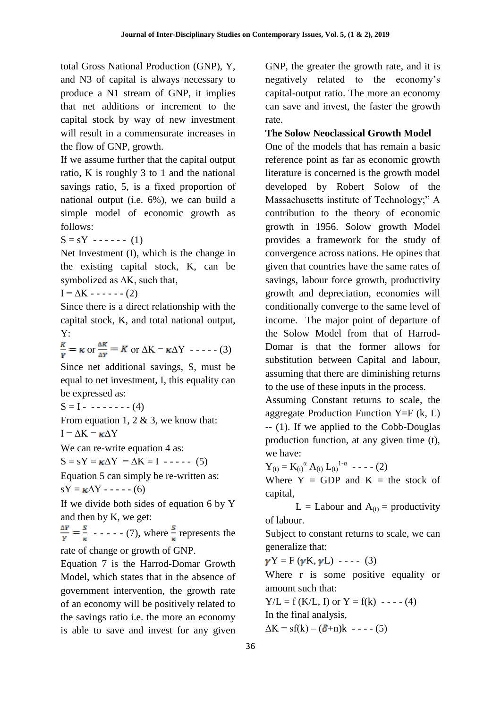total Gross National Production (GNP), Y, and N3 of capital is always necessary to produce a N1 stream of GNP, it implies that net additions or increment to the capital stock by way of new investment will result in a commensurate increases in the flow of GNP, growth.

If we assume further that the capital output ratio, K is roughly 3 to 1 and the national savings ratio, 5, is a fixed proportion of national output (i.e. 6%), we can build a simple model of economic growth as follows:

 $S = sY - - - - (1)$ 

Net Investment (I), which is the change in the existing capital stock, K, can be symbolized as ∆K, such that,

$$
I = \Delta K - \cdots - (2)
$$

Since there is a direct relationship with the capital stock, K, and total national output, Y:

 $\frac{K}{v} = \kappa$  or  $\frac{\Delta K}{\Delta v} = K$  or  $\Delta K = \kappa \Delta Y$  - - - - - (3)

Since net additional savings, S, must be equal to net investment, I, this equality can be expressed as:

 $S = I - - - - - - - (4)$ 

From equation 1, 2  $\&$  3, we know that:  $I = \Delta K = \kappa \Delta Y$ 

We can re-write equation 4 as:

 $S = sY = \kappa \Delta Y = \Delta K = I \quad \text{---} \quad (5)$ 

Equation 5 can simply be re-written as:  $sY = \kappa \Delta Y - \cdots (6)$ 

If we divide both sides of equation 6 by Y and then by K, we get:

 $\frac{\Delta Y}{Y} = \frac{S}{Y}$  - - - - - (7), where  $\frac{S}{Y}$  represents the rate of change or growth of GNP.

Equation 7 is the Harrod-Domar Growth Model, which states that in the absence of government intervention, the growth rate of an economy will be positively related to the savings ratio i.e. the more an economy is able to save and invest for any given

GNP, the greater the growth rate, and it is negatively related to the economy"s capital-output ratio. The more an economy can save and invest, the faster the growth rate.

### **The Solow Neoclassical Growth Model**

One of the models that has remain a basic reference point as far as economic growth literature is concerned is the growth model developed by Robert Solow of the Massachusetts institute of Technology;" A contribution to the theory of economic growth in 1956. Solow growth Model provides a framework for the study of convergence across nations. He opines that given that countries have the same rates of savings, labour force growth, productivity growth and depreciation, economies will conditionally converge to the same level of income. The major point of departure of the Solow Model from that of Harrod-Domar is that the former allows for substitution between Capital and labour, assuming that there are diminishing returns to the use of these inputs in the process.

Assuming Constant returns to scale, the aggregate Production Function  $Y=F(k, L)$ -- (1). If we applied to the Cobb-Douglas production function, at any given time (t), we have:

 $Y_{(t)} = K_{(t)}^{\alpha} A_{(t)} L_{(t)}^{1-\alpha}$  ---- (2)

Where  $Y = GDP$  and  $K = the stock of$ capital,

L = Labour and  $A_{(t)}$  = productivity of labour.

Subject to constant returns to scale, we can generalize that:

 $\gamma Y = F(\gamma K, \gamma L)$  ---- (3)

Where r is some positive equality or amount such that:

 $Y/L = f (K/L, I)$  or  $Y = f(k)$  - - - - (4) In the final analysis,

 $\Delta K = sf(k) - (\delta + n)k - \cdots (5)$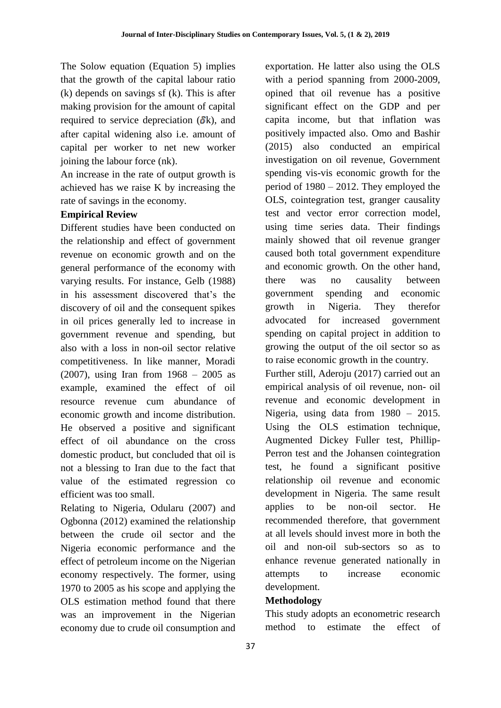The Solow equation (Equation 5) implies that the growth of the capital labour ratio (k) depends on savings sf (k). This is after making provision for the amount of capital required to service depreciation  $(\delta k)$ , and after capital widening also i.e. amount of capital per worker to net new worker joining the labour force (nk).

An increase in the rate of output growth is achieved has we raise K by increasing the rate of savings in the economy.

## **Empirical Review**

Different studies have been conducted on the relationship and effect of government revenue on economic growth and on the general performance of the economy with varying results. For instance, Gelb (1988) in his assessment discovered that's the discovery of oil and the consequent spikes in oil prices generally led to increase in government revenue and spending, but also with a loss in non-oil sector relative competitiveness. In like manner, Moradi (2007), using Iran from 1968 – 2005 as example, examined the effect of oil resource revenue cum abundance of economic growth and income distribution. He observed a positive and significant effect of oil abundance on the cross domestic product, but concluded that oil is not a blessing to Iran due to the fact that value of the estimated regression co efficient was too small.

Relating to Nigeria, Odularu (2007) and Ogbonna (2012) examined the relationship between the crude oil sector and the Nigeria economic performance and the effect of petroleum income on the Nigerian economy respectively. The former, using 1970 to 2005 as his scope and applying the OLS estimation method found that there was an improvement in the Nigerian economy due to crude oil consumption and

exportation. He latter also using the OLS with a period spanning from 2000-2009, opined that oil revenue has a positive significant effect on the GDP and per capita income, but that inflation was positively impacted also. Omo and Bashir (2015) also conducted an empirical investigation on oil revenue, Government spending vis-vis economic growth for the period of 1980 – 2012. They employed the OLS, cointegration test, granger causality test and vector error correction model, using time series data. Their findings mainly showed that oil revenue granger caused both total government expenditure and economic growth. On the other hand, there was no causality between government spending and economic growth in Nigeria. They therefor advocated for increased government spending on capital project in addition to growing the output of the oil sector so as to raise economic growth in the country.

Further still, Aderoju (2017) carried out an empirical analysis of oil revenue, non- oil revenue and economic development in Nigeria, using data from 1980 – 2015. Using the OLS estimation technique, Augmented Dickey Fuller test, Phillip-Perron test and the Johansen cointegration test, he found a significant positive relationship oil revenue and economic development in Nigeria. The same result applies to be non-oil sector. He recommended therefore, that government at all levels should invest more in both the oil and non-oil sub-sectors so as to enhance revenue generated nationally in attempts to increase economic development.

### **Methodology**

This study adopts an econometric research method to estimate the effect of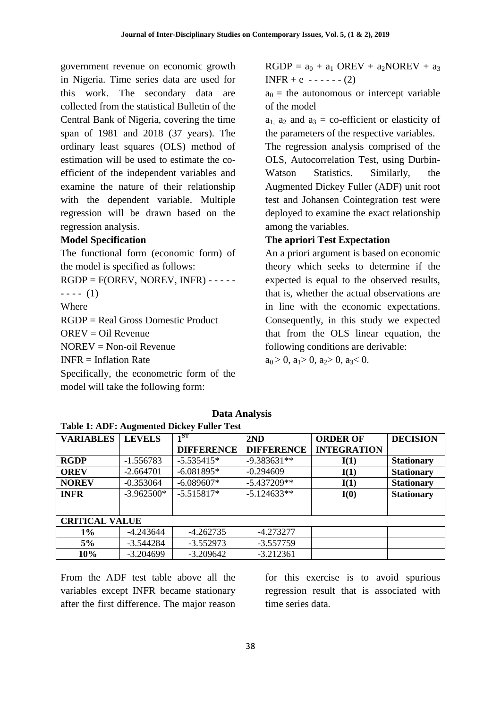government revenue on economic growth in Nigeria. Time series data are used for this work. The secondary data are collected from the statistical Bulletin of the Central Bank of Nigeria, covering the time span of 1981 and 2018 (37 years). The ordinary least squares (OLS) method of estimation will be used to estimate the coefficient of the independent variables and examine the nature of their relationship with the dependent variable. Multiple regression will be drawn based on the regression analysis.

### **Model Specification**

The functional form (economic form) of the model is specified as follows:  $RGDP = F(OREV, NOREV, INFR) - - - - ---(1)$ Where RGDP = Real Gross Domestic Product  $OREV = Oil$  Revenue NOREV = Non-oil Revenue  $INFR = Inflation Rate$ Specifically, the econometric form of the

model will take the following form:

 $RGDP = a_0 + a_1 \text{OREV} + a_2 \text{NOREV} + a_3$  $INFR + e$  ------ (2)

 $a_0$  = the autonomous or intercept variable of the model

 $a_1$ ,  $a_2$  and  $a_3$  = co-efficient or elasticity of the parameters of the respective variables.

The regression analysis comprised of the OLS, Autocorrelation Test, using Durbin-Watson Statistics. Similarly, the Augmented Dickey Fuller (ADF) unit root test and Johansen Cointegration test were deployed to examine the exact relationship among the variables.

#### **The apriori Test Expectation**

An a priori argument is based on economic theory which seeks to determine if the expected is equal to the observed results, that is, whether the actual observations are in line with the economic expectations. Consequently, in this study we expected that from the OLS linear equation, the following conditions are derivable:

 $a_0 > 0$ ,  $a_1 > 0$ ,  $a_2 > 0$ ,  $a_3 < 0$ .

| Tuble 1. HDT, Hughkined Dieney I until Test |               |                   |                   |                    |                   |  |  |  |
|---------------------------------------------|---------------|-------------------|-------------------|--------------------|-------------------|--|--|--|
| <b>VARIABLES</b>                            | <b>LEVELS</b> | $1^{ST}$          | 2ND               | <b>ORDER OF</b>    | <b>DECISION</b>   |  |  |  |
|                                             |               | <b>DIFFERENCE</b> | <b>DIFFERENCE</b> | <b>INTEGRATION</b> |                   |  |  |  |
| <b>RGDP</b>                                 | $-1.556783$   | $-5.535415*$      | $-9.383631**$     | I(1)               | <b>Stationary</b> |  |  |  |
| <b>OREV</b>                                 | $-2.664701$   | $-6.081895*$      | $-0.294609$       | I(1)               | <b>Stationary</b> |  |  |  |
| <b>NOREV</b>                                | $-0.353064$   | $-6.089607*$      | $-5.437209**$     | I(1)               | <b>Stationary</b> |  |  |  |
| <b>INFR</b>                                 | $-3.962500*$  | $-5.515817*$      | $-5.124633**$     | I(0)               | <b>Stationary</b> |  |  |  |
|                                             |               |                   |                   |                    |                   |  |  |  |
| <b>CRITICAL VALUE</b>                       |               |                   |                   |                    |                   |  |  |  |
| $1\%$                                       | $-4.243644$   | $-4.262735$       | $-4.273277$       |                    |                   |  |  |  |
| 5%                                          | $-3.544284$   | $-3.552973$       | $-3.557759$       |                    |                   |  |  |  |
| 10%                                         | $-3.204699$   | $-3.209642$       | $-3.212361$       |                    |                   |  |  |  |

**Data Analysis**

**Table 1: ADF: Augmented Dickey Fuller Test**

From the ADF test table above all the variables except INFR became stationary after the first difference. The major reason for this exercise is to avoid spurious regression result that is associated with time series data.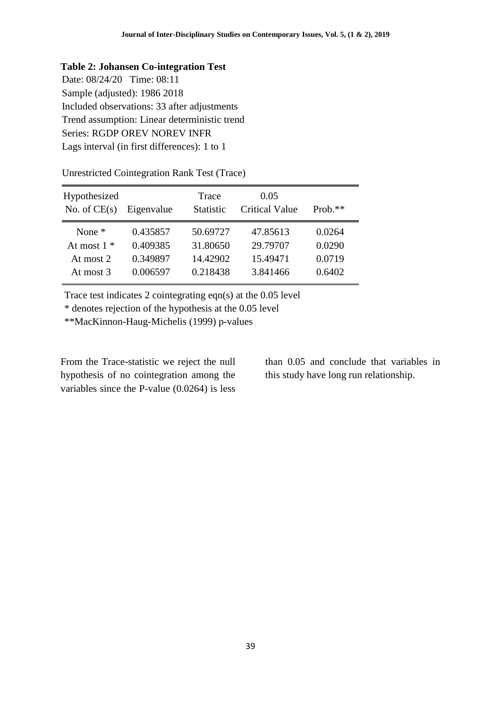#### **Table 2: Johansen Co-integration Test**

Date: 08/24/20 Time: 08:11 Sample (adjusted): 1986 2018 Included observations: 33 after adjustments Trend assumption: Linear deterministic trend Series: RGDP OREV NOREV INFR Lags interval (in first differences): 1 to 1

Unrestricted Cointegration Rank Test (Trace)

| Hypothesized<br>No. of $CE(s)$ | Eigenvalue | Trace<br><b>Statistic</b> | 0.05<br><b>Critical Value</b> | Prob. $**$ |
|--------------------------------|------------|---------------------------|-------------------------------|------------|
| None $*$                       | 0.435857   | 50.69727                  | 47.85613                      | 0.0264     |
| At most $1 *$                  | 0.409385   | 31.80650                  | 29.79707                      | 0.0290     |
| At most 2                      | 0.349897   | 14.42902                  | 15.49471                      | 0.0719     |
| At most 3                      | 0.006597   | 0.218438                  | 3.841466                      | 0.6402     |

Trace test indicates 2 cointegrating eqn(s) at the 0.05 level

\* denotes rejection of the hypothesis at the 0.05 level

\*\*MacKinnon-Haug-Michelis (1999) p-values

From the Trace-statistic we reject the null hypothesis of no cointegration among the variables since the P-value (0.0264) is less than 0.05 and conclude that variables in this study have long run relationship.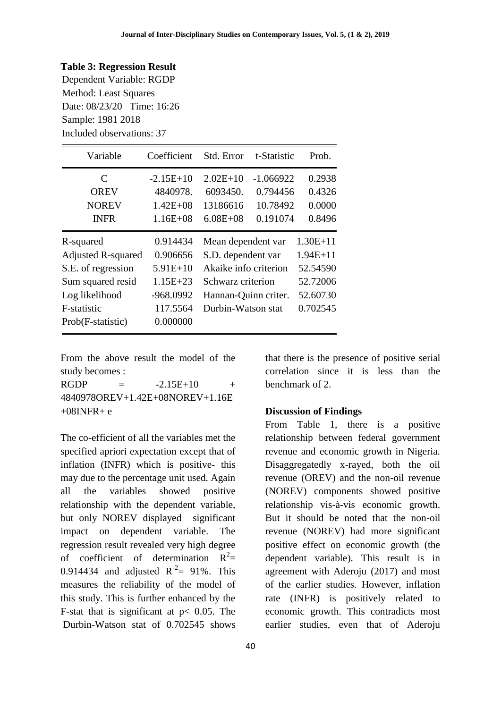#### **Table 3: Regression Result**

Dependent Variable: RGDP Method: Least Squares Date: 08/23/20 Time: 16:26 Sample: 1981 2018 Included observations: 37

| Variable                  | Coefficient  | Std. Error            | t-Statistic | Prob.        |
|---------------------------|--------------|-----------------------|-------------|--------------|
| C                         | $-2.15E+10$  | $2.02E+10$            | $-1.066922$ | 0.2938       |
| <b>OREV</b>               | 4840978.     | 6093450.              | 0.794456    | 0.4326       |
| <b>NOREV</b>              | $1.42E + 08$ | 13186616              | 10.78492    | 0.0000       |
| <b>INFR</b>               | $1.16E + 08$ | $6.08E + 08$          | 0.191074    | 0.8496       |
| R-squared                 | 0.914434     | Mean dependent var    |             | $1.30E + 11$ |
| <b>Adjusted R-squared</b> | 0.906656     | S.D. dependent var    |             | $1.94E + 11$ |
| S.E. of regression        | $5.91E+10$   | Akaike info criterion |             | 52.54590     |
| Sum squared resid         | $1.15E + 23$ | Schwarz criterion     |             | 52.72006     |
| Log likelihood            | -968.0992    | Hannan-Quinn criter.  |             | 52.60730     |
| F-statistic               | 117.5564     | Durbin-Watson stat    |             | 0.702545     |
| Prob(F-statistic)         | 0.000000     |                       |             |              |

From the above result the model of the study becomes :

 $RGDP = -2.15E+10 +$ 4840978OREV+1.42E+08NOREV+1.16E  $+08$ INFR $+e$ 

The co-efficient of all the variables met the specified apriori expectation except that of inflation (INFR) which is positive- this may due to the percentage unit used. Again all the variables showed positive relationship with the dependent variable, but only NOREV displayed significant impact on dependent variable. The regression result revealed very high degree of coefficient of determination  $R^2$ = 0.914434 and adjusted  $R^{-2} = 91\%$ . This measures the reliability of the model of this study. This is further enhanced by the F-stat that is significant at  $p < 0.05$ . The Durbin-Watson stat of 0.702545 shows

40

that there is the presence of positive serial correlation since it is less than the benchmark of 2.

#### **Discussion of Findings**

From Table 1, there is a positive relationship between federal government revenue and economic growth in Nigeria. Disaggregatedly x-rayed, both the oil revenue (OREV) and the non-oil revenue (NOREV) components showed positive relationship vis-à-vis economic growth. But it should be noted that the non-oil revenue (NOREV) had more significant positive effect on economic growth (the dependent variable). This result is in agreement with Aderoju (2017) and most of the earlier studies. However, inflation rate (INFR) is positively related to economic growth. This contradicts most earlier studies, even that of Aderoju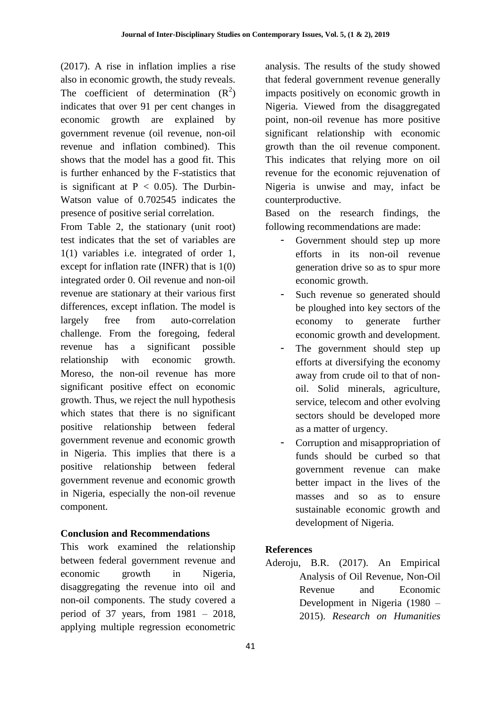(2017). A rise in inflation implies a rise also in economic growth, the study reveals. The coefficient of determination  $(R^2)$ indicates that over 91 per cent changes in economic growth are explained by government revenue (oil revenue, non-oil revenue and inflation combined). This shows that the model has a good fit. This is further enhanced by the F-statistics that is significant at  $P < 0.05$ ). The Durbin-Watson value of 0.702545 indicates the presence of positive serial correlation.

From Table 2, the stationary (unit root) test indicates that the set of variables are 1(1) variables i.e. integrated of order 1, except for inflation rate (INFR) that is 1(0) integrated order 0. Oil revenue and non-oil revenue are stationary at their various first differences, except inflation. The model is largely free from auto-correlation challenge. From the foregoing, federal revenue has a significant possible relationship with economic growth. Moreso, the non-oil revenue has more significant positive effect on economic growth. Thus, we reject the null hypothesis which states that there is no significant positive relationship between federal government revenue and economic growth in Nigeria. This implies that there is a positive relationship between federal government revenue and economic growth in Nigeria, especially the non-oil revenue component.

## **Conclusion and Recommendations**

This work examined the relationship between federal government revenue and economic growth in Nigeria, disaggregating the revenue into oil and non-oil components. The study covered a period of 37 years, from 1981 – 2018, applying multiple regression econometric analysis. The results of the study showed that federal government revenue generally impacts positively on economic growth in Nigeria. Viewed from the disaggregated point, non-oil revenue has more positive significant relationship with economic growth than the oil revenue component. This indicates that relying more on oil revenue for the economic rejuvenation of Nigeria is unwise and may, infact be counterproductive.

Based on the research findings, the following recommendations are made:

- Government should step up more efforts in its non-oil revenue generation drive so as to spur more economic growth.
- Such revenue so generated should be ploughed into key sectors of the economy to generate further economic growth and development.
- The government should step up efforts at diversifying the economy away from crude oil to that of nonoil. Solid minerals, agriculture, service, telecom and other evolving sectors should be developed more as a matter of urgency.
- Corruption and misappropriation of funds should be curbed so that government revenue can make better impact in the lives of the masses and so as to ensure sustainable economic growth and development of Nigeria.

## **References**

Aderoju, B.R. (2017). An Empirical Analysis of Oil Revenue, Non-Oil Revenue and Economic Development in Nigeria (1980 – 2015). *Research on Humanities*